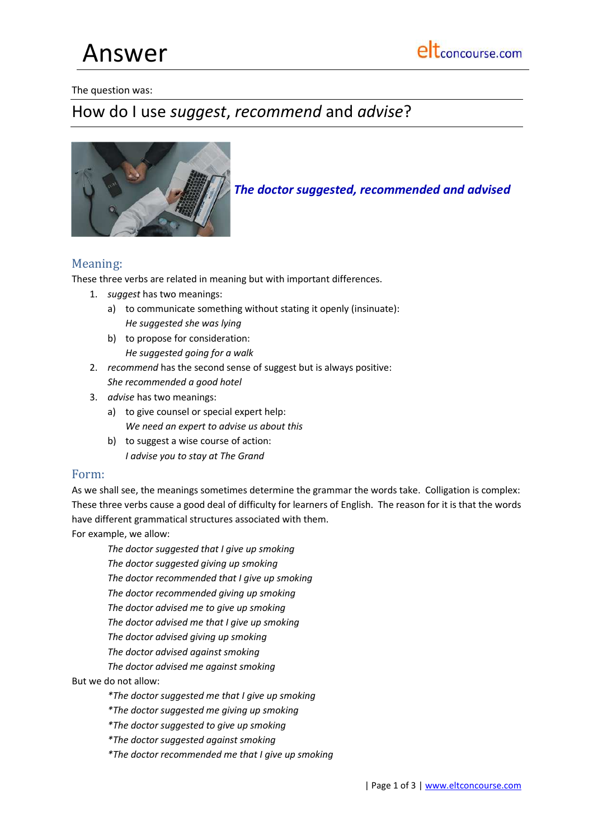Answer

The question was:

# How do I use *suggest*, *recommend* and *advise*?



*The doctor suggested, recommended and advised*

## Meaning:

These three verbs are related in meaning but with important differences.

- 1. *suggest* has two meanings:
	- a) to communicate something without stating it openly (insinuate): *He suggested she was lying*
	- b) to propose for consideration: *He suggested going for a walk*
- 2. *recommend* has the second sense of suggest but is always positive: *She recommended a good hotel*
- 3. *advise* has two meanings:
	- a) to give counsel or special expert help: *We need an expert to advise us about this*
	- b) to suggest a wise course of action: *I advise you to stay at The Grand*

## Form:

As we shall see, the meanings sometimes determine the grammar the words take. Colligation is complex: These three verbs cause a good deal of difficulty for learners of English. The reason for it is that the words have different grammatical structures associated with them.

For example, we allow:

*The doctor suggested that I give up smoking*

*The doctor suggested giving up smoking*

*The doctor recommended that I give up smoking*

*The doctor recommended giving up smoking*

*The doctor advised me to give up smoking*

*The doctor advised me that I give up smoking*

*The doctor advised giving up smoking*

*The doctor advised against smoking*

*The doctor advised me against smoking*

But we do not allow:

*\*The doctor suggested me that I give up smoking*

*\*The doctor suggested me giving up smoking*

*\*The doctor suggested to give up smoking*

*\*The doctor suggested against smoking*

*\*The doctor recommended me that I give up smoking*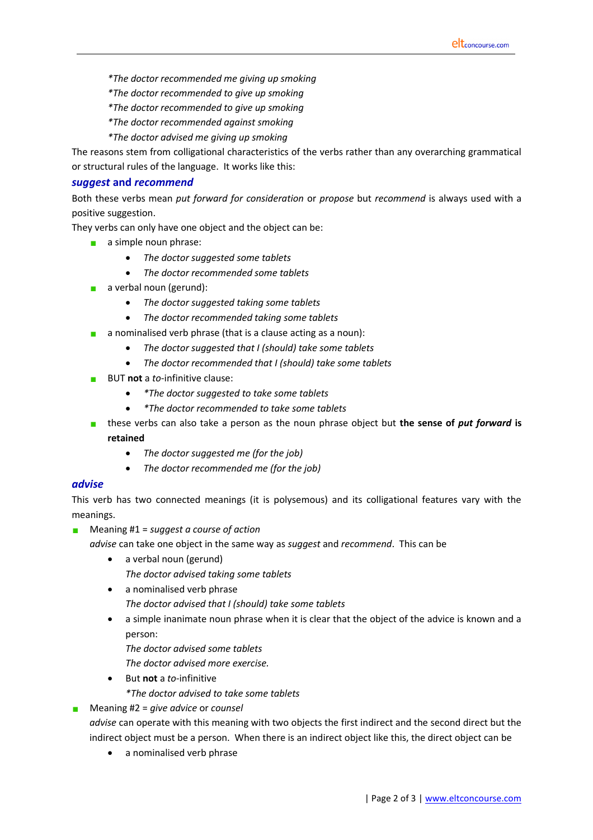- *\*The doctor recommended me giving up smoking*
- *\*The doctor recommended to give up smoking*
- *\*The doctor recommended to give up smoking*
- *\*The doctor recommended against smoking*
- *\*The doctor advised me giving up smoking*

The reasons stem from colligational characteristics of the verbs rather than any overarching grammatical or structural rules of the language. It works like this:

### *suggest* **and** *recommend*

Both these verbs mean *put forward for consideration* or *propose* but *recommend* is always used with a positive suggestion.

They verbs can only have one object and the object can be:

- a simple noun phrase:
	- *The doctor suggested some tablets*
	- *The doctor recommended some tablets*
- $\Box$  a verbal noun (gerund):
	- *The doctor suggested taking some tablets*
	- *The doctor recommended taking some tablets*
- **a** a nominalised verb phrase (that is a clause acting as a noun):
	- *The doctor suggested that I (should) take some tablets*
	- *The doctor recommended that I (should) take some tablets*
- BUT **not** a *to-*infinitive clause:
	- *\*The doctor suggested to take some tablets*
	- *\*The doctor recommended to take some tablets*
- these verbs can also take a person as the noun phrase object but **the sense of** *put forward* **is retained**
	- *The doctor suggested me (for the job)*
	- *The doctor recommended me (for the job)*

#### *advise*

This verb has two connected meanings (it is polysemous) and its colligational features vary with the meanings.

Meaning #1 = *suggest a course of action*

*advise* can take one object in the same way as *suggest* and *recommend*. This can be

- a verbal noun (gerund) *The doctor advised taking some tablets*
- a nominalised verb phrase
	- *The doctor advised that I (should) take some tablets*
- a simple inanimate noun phrase when it is clear that the object of the advice is known and a person:
	- *The doctor advised some tablets*
	- *The doctor advised more exercise.*
- But **not** a *to-*infinitive *\*The doctor advised to take some tablets*
- Meaning #2 = *give advice* or *counsel*

*advise* can operate with this meaning with two objects the first indirect and the second direct but the indirect object must be a person. When there is an indirect object like this, the direct object can be

a nominalised verb phrase